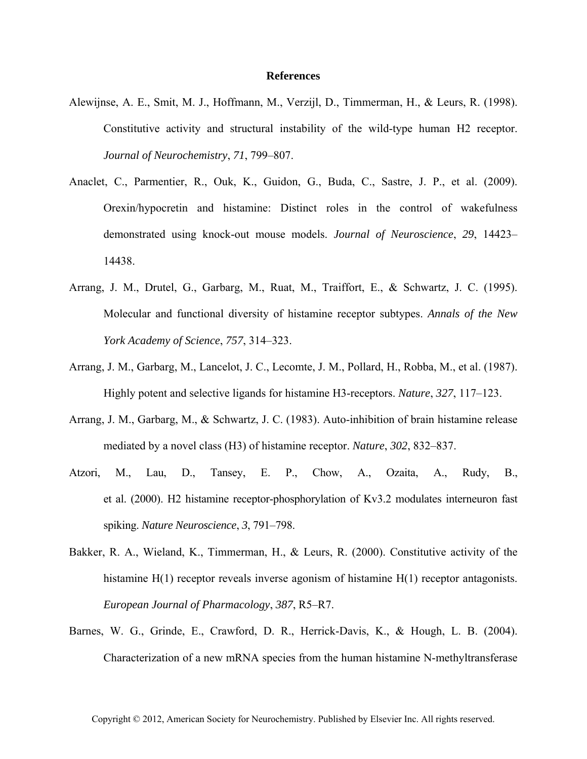## **References**

- Alewijnse, A. E., Smit, M. J., Hoffmann, M., Verzijl, D., Timmerman, H., & Leurs, R. (1998). Constitutive activity and structural instability of the wild-type human H2 receptor. *Journal of Neurochemistry*, *71*, 799–807.
- Anaclet, C., Parmentier, R., Ouk, K., Guidon, G., Buda, C., Sastre, J. P., et al. (2009). Orexin/hypocretin and histamine: Distinct roles in the control of wakefulness demonstrated using knock-out mouse models. *Journal of Neuroscience*, *29*, 14423– 14438.
- Arrang, J. M., Drutel, G., Garbarg, M., Ruat, M., Traiffort, E., & Schwartz, J. C. (1995). Molecular and functional diversity of histamine receptor subtypes. *Annals of the New York Academy of Science*, *757*, 314–323.
- Arrang, J. M., Garbarg, M., Lancelot, J. C., Lecomte, J. M., Pollard, H., Robba, M., et al. (1987). Highly potent and selective ligands for histamine H3-receptors. *Nature*, *327*, 117–123.
- Arrang, J. M., Garbarg, M., & Schwartz, J. C. (1983). Auto-inhibition of brain histamine release mediated by a novel class (H3) of histamine receptor. *Nature*, *302*, 832–837.
- Atzori, M., Lau, D., Tansey, E. P., Chow, A., Ozaita, A., Rudy, B., et al. (2000). H2 histamine receptor-phosphorylation of Kv3.2 modulates interneuron fast spiking. *Nature Neuroscience*, *3*, 791–798.
- Bakker, R. A., Wieland, K., Timmerman, H., & Leurs, R. (2000). Constitutive activity of the histamine H(1) receptor reveals inverse agonism of histamine H(1) receptor antagonists. *European Journal of Pharmacology*, *387*, R5–R7.
- Barnes, W. G., Grinde, E., Crawford, D. R., Herrick-Davis, K., & Hough, L. B. (2004). Characterization of a new mRNA species from the human histamine N-methyltransferase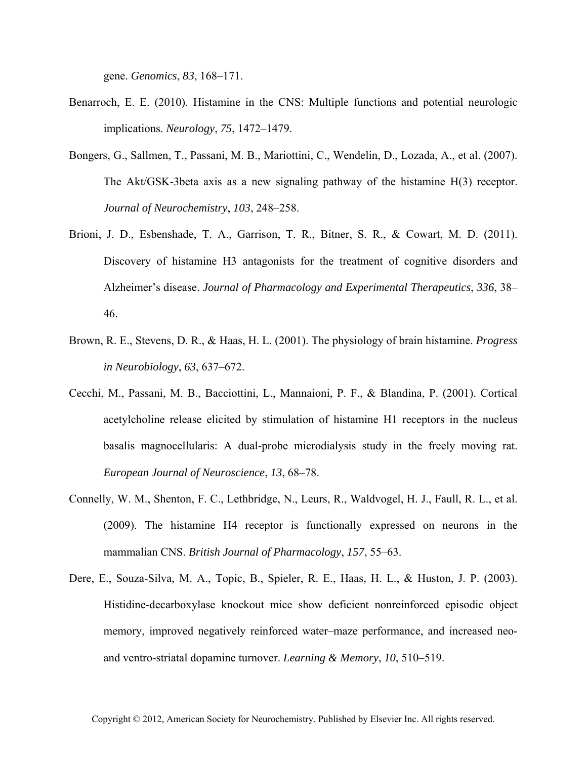gene. *Genomics*, *83*, 168–171.

- Benarroch, E. E. (2010). Histamine in the CNS: Multiple functions and potential neurologic implications. *Neurology*, *75*, 1472–1479.
- Bongers, G., Sallmen, T., Passani, M. B., Mariottini, C., Wendelin, D., Lozada, A., et al. (2007). The Akt/GSK-3beta axis as a new signaling pathway of the histamine H(3) receptor. *Journal of Neurochemistry*, *103*, 248–258.
- Brioni, J. D., Esbenshade, T. A., Garrison, T. R., Bitner, S. R., & Cowart, M. D. (2011). Discovery of histamine H3 antagonists for the treatment of cognitive disorders and Alzheimer's disease. *Journal of Pharmacology and Experimental Therapeutics*, *336*, 38– 46.
- Brown, R. E., Stevens, D. R., & Haas, H. L. (2001). The physiology of brain histamine. *Progress in Neurobiology*, *63*, 637–672.
- Cecchi, M., Passani, M. B., Bacciottini, L., Mannaioni, P. F., & Blandina, P. (2001). Cortical acetylcholine release elicited by stimulation of histamine H1 receptors in the nucleus basalis magnocellularis: A dual-probe microdialysis study in the freely moving rat. *European Journal of Neuroscience*, *13*, 68–78.
- Connelly, W. M., Shenton, F. C., Lethbridge, N., Leurs, R., Waldvogel, H. J., Faull, R. L., et al. (2009). The histamine H4 receptor is functionally expressed on neurons in the mammalian CNS. *British Journal of Pharmacology*, *157*, 55–63.
- Dere, E., Souza-Silva, M. A., Topic, B., Spieler, R. E., Haas, H. L., & Huston, J. P. (2003). Histidine-decarboxylase knockout mice show deficient nonreinforced episodic object memory, improved negatively reinforced water–maze performance, and increased neoand ventro-striatal dopamine turnover. *Learning & Memory*, *10*, 510–519.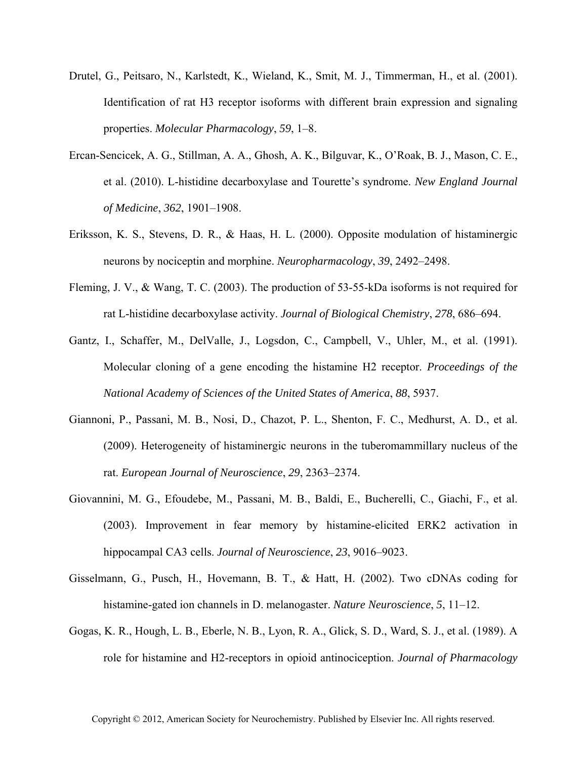- Drutel, G., Peitsaro, N., Karlstedt, K., Wieland, K., Smit, M. J., Timmerman, H., et al. (2001). Identification of rat H3 receptor isoforms with different brain expression and signaling properties. *Molecular Pharmacology*, *59*, 1–8.
- Ercan-Sencicek, A. G., Stillman, A. A., Ghosh, A. K., Bilguvar, K., O'Roak, B. J., Mason, C. E., et al. (2010). L-histidine decarboxylase and Tourette's syndrome. *New England Journal of Medicine*, *362*, 1901–1908.
- Eriksson, K. S., Stevens, D. R., & Haas, H. L. (2000). Opposite modulation of histaminergic neurons by nociceptin and morphine. *Neuropharmacology*, *39*, 2492–2498.
- Fleming, J. V., & Wang, T. C. (2003). The production of 53-55-kDa isoforms is not required for rat L-histidine decarboxylase activity. *Journal of Biological Chemistry*, *278*, 686–694.
- Gantz, I., Schaffer, M., DelValle, J., Logsdon, C., Campbell, V., Uhler, M., et al. (1991). Molecular cloning of a gene encoding the histamine H2 receptor. *Proceedings of the National Academy of Sciences of the United States of America*, *88*, 5937.
- Giannoni, P., Passani, M. B., Nosi, D., Chazot, P. L., Shenton, F. C., Medhurst, A. D., et al. (2009). Heterogeneity of histaminergic neurons in the tuberomammillary nucleus of the rat. *European Journal of Neuroscience*, *29*, 2363–2374.
- Giovannini, M. G., Efoudebe, M., Passani, M. B., Baldi, E., Bucherelli, C., Giachi, F., et al. (2003). Improvement in fear memory by histamine-elicited ERK2 activation in hippocampal CA3 cells. *Journal of Neuroscience*, *23*, 9016–9023.
- Gisselmann, G., Pusch, H., Hovemann, B. T., & Hatt, H. (2002). Two cDNAs coding for histamine-gated ion channels in D. melanogaster. *Nature Neuroscience*, *5*, 11–12.
- Gogas, K. R., Hough, L. B., Eberle, N. B., Lyon, R. A., Glick, S. D., Ward, S. J., et al. (1989). A role for histamine and H2-receptors in opioid antinociception. *Journal of Pharmacology*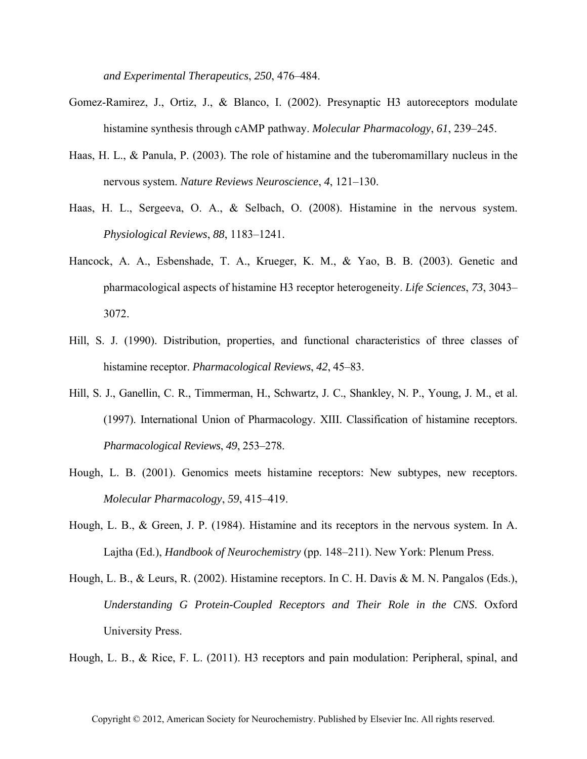*and Experimental Therapeutics*, *250*, 476–484.

- Gomez-Ramirez, J., Ortiz, J., & Blanco, I. (2002). Presynaptic H3 autoreceptors modulate histamine synthesis through cAMP pathway. *Molecular Pharmacology*, *61*, 239–245.
- Haas, H. L., & Panula, P. (2003). The role of histamine and the tuberomamillary nucleus in the nervous system. *Nature Reviews Neuroscience*, *4*, 121–130.
- Haas, H. L., Sergeeva, O. A., & Selbach, O. (2008). Histamine in the nervous system. *Physiological Reviews*, *88*, 1183–1241.
- Hancock, A. A., Esbenshade, T. A., Krueger, K. M., & Yao, B. B. (2003). Genetic and pharmacological aspects of histamine H3 receptor heterogeneity. *Life Sciences*, *73*, 3043– 3072.
- Hill, S. J. (1990). Distribution, properties, and functional characteristics of three classes of histamine receptor. *Pharmacological Reviews*, *42*, 45–83.
- Hill, S. J., Ganellin, C. R., Timmerman, H., Schwartz, J. C., Shankley, N. P., Young, J. M., et al. (1997). International Union of Pharmacology. XIII. Classification of histamine receptors. *Pharmacological Reviews*, *49*, 253–278.
- Hough, L. B. (2001). Genomics meets histamine receptors: New subtypes, new receptors. *Molecular Pharmacology*, *59*, 415–419.
- Hough, L. B., & Green, J. P. (1984). Histamine and its receptors in the nervous system. In A. Lajtha (Ed.), *Handbook of Neurochemistry* (pp. 148–211). New York: Plenum Press.
- Hough, L. B., & Leurs, R. (2002). Histamine receptors. In C. H. Davis & M. N. Pangalos (Eds.), *Understanding G Protein-Coupled Receptors and Their Role in the CNS*. Oxford University Press.

Hough, L. B., & Rice, F. L. (2011). H3 receptors and pain modulation: Peripheral, spinal, and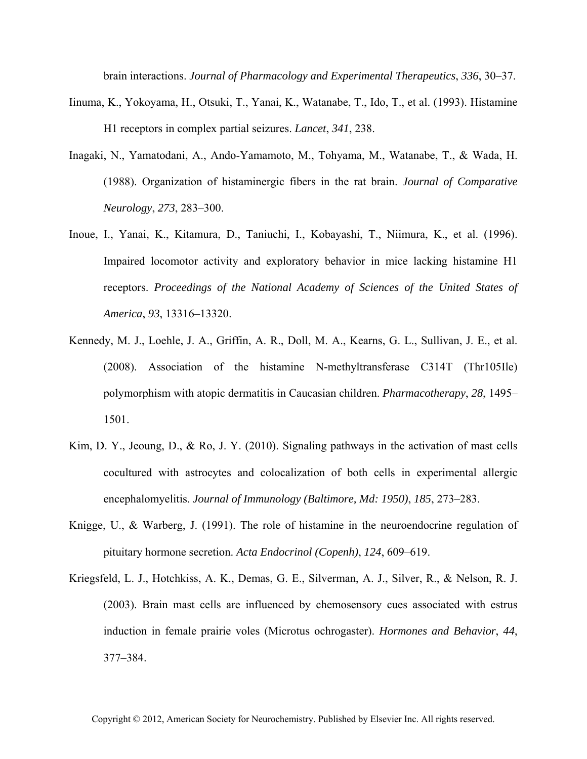brain interactions. *Journal of Pharmacology and Experimental Therapeutics*, *336*, 30–37.

- Iinuma, K., Yokoyama, H., Otsuki, T., Yanai, K., Watanabe, T., Ido, T., et al. (1993). Histamine H1 receptors in complex partial seizures. *Lancet*, *341*, 238.
- Inagaki, N., Yamatodani, A., Ando-Yamamoto, M., Tohyama, M., Watanabe, T., & Wada, H. (1988). Organization of histaminergic fibers in the rat brain. *Journal of Comparative Neurology*, *273*, 283–300.
- Inoue, I., Yanai, K., Kitamura, D., Taniuchi, I., Kobayashi, T., Niimura, K., et al. (1996). Impaired locomotor activity and exploratory behavior in mice lacking histamine H1 receptors. *Proceedings of the National Academy of Sciences of the United States of America*, *93*, 13316–13320.
- Kennedy, M. J., Loehle, J. A., Griffin, A. R., Doll, M. A., Kearns, G. L., Sullivan, J. E., et al. (2008). Association of the histamine N-methyltransferase C314T (Thr105Ile) polymorphism with atopic dermatitis in Caucasian children. *Pharmacotherapy*, *28*, 1495– 1501.
- Kim, D. Y., Jeoung, D., & Ro, J. Y. (2010). Signaling pathways in the activation of mast cells cocultured with astrocytes and colocalization of both cells in experimental allergic encephalomyelitis. *Journal of Immunology (Baltimore, Md: 1950)*, *185*, 273–283.
- Knigge, U., & Warberg, J. (1991). The role of histamine in the neuroendocrine regulation of pituitary hormone secretion. *Acta Endocrinol (Copenh)*, *124*, 609–619.
- Kriegsfeld, L. J., Hotchkiss, A. K., Demas, G. E., Silverman, A. J., Silver, R., & Nelson, R. J. (2003). Brain mast cells are influenced by chemosensory cues associated with estrus induction in female prairie voles (Microtus ochrogaster). *Hormones and Behavior*, *44*, 377–384.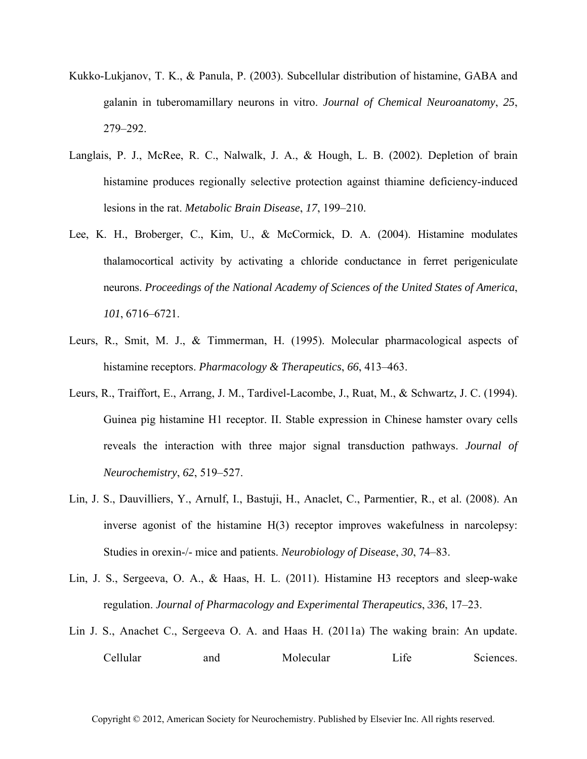- Kukko-Lukjanov, T. K., & Panula, P. (2003). Subcellular distribution of histamine, GABA and galanin in tuberomamillary neurons in vitro. *Journal of Chemical Neuroanatomy*, *25*, 279–292.
- Langlais, P. J., McRee, R. C., Nalwalk, J. A., & Hough, L. B. (2002). Depletion of brain histamine produces regionally selective protection against thiamine deficiency-induced lesions in the rat. *Metabolic Brain Disease*, *17*, 199–210.
- Lee, K. H., Broberger, C., Kim, U., & McCormick, D. A. (2004). Histamine modulates thalamocortical activity by activating a chloride conductance in ferret perigeniculate neurons. *Proceedings of the National Academy of Sciences of the United States of America*, *101*, 6716–6721.
- Leurs, R., Smit, M. J., & Timmerman, H. (1995). Molecular pharmacological aspects of histamine receptors. *Pharmacology & Therapeutics*, *66*, 413–463.
- Leurs, R., Traiffort, E., Arrang, J. M., Tardivel-Lacombe, J., Ruat, M., & Schwartz, J. C. (1994). Guinea pig histamine H1 receptor. II. Stable expression in Chinese hamster ovary cells reveals the interaction with three major signal transduction pathways. *Journal of Neurochemistry*, *62*, 519–527.
- Lin, J. S., Dauvilliers, Y., Arnulf, I., Bastuji, H., Anaclet, C., Parmentier, R., et al. (2008). An inverse agonist of the histamine H(3) receptor improves wakefulness in narcolepsy: Studies in orexin-/- mice and patients. *Neurobiology of Disease*, *30*, 74–83.
- Lin, J. S., Sergeeva, O. A., & Haas, H. L. (2011). Histamine H3 receptors and sleep-wake regulation. *Journal of Pharmacology and Experimental Therapeutics*, *336*, 17–23.
- Lin J. S., Anachet C., Sergeeva O. A. and Haas H. (2011a) The waking brain: An update. Cellular and Molecular Life Sciences.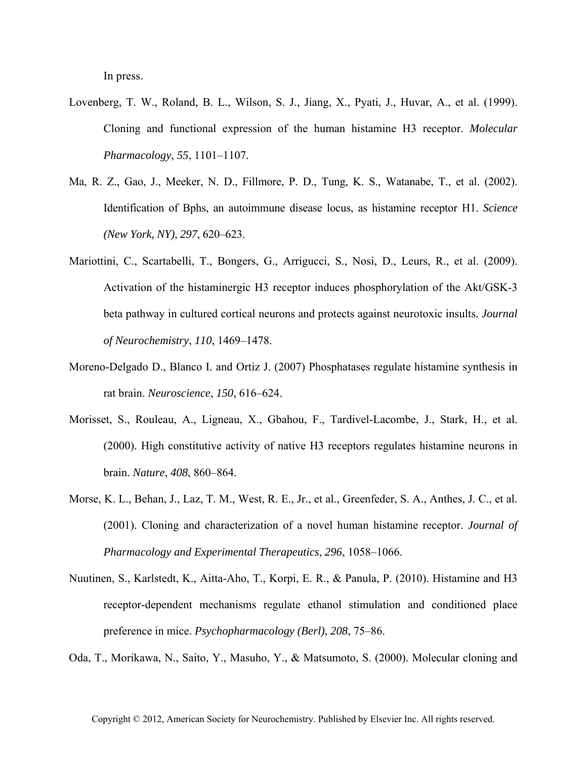In press.

- Lovenberg, T. W., Roland, B. L., Wilson, S. J., Jiang, X., Pyati, J., Huvar, A., et al. (1999). Cloning and functional expression of the human histamine H3 receptor. *Molecular Pharmacology*, *55*, 1101–1107.
- Ma, R. Z., Gao, J., Meeker, N. D., Fillmore, P. D., Tung, K. S., Watanabe, T., et al. (2002). Identification of Bphs, an autoimmune disease locus, as histamine receptor H1. *Science (New York, NY)*, *297*, 620–623.
- Mariottini, C., Scartabelli, T., Bongers, G., Arrigucci, S., Nosi, D., Leurs, R., et al. (2009). Activation of the histaminergic H3 receptor induces phosphorylation of the Akt/GSK-3 beta pathway in cultured cortical neurons and protects against neurotoxic insults. *Journal of Neurochemistry*, *110*, 1469–1478.
- Moreno-Delgado D., Blanco I. and Ortiz J. (2007) Phosphatases regulate histamine synthesis in rat brain. *Neuroscience*, *150*, 616–624.
- Morisset, S., Rouleau, A., Ligneau, X., Gbahou, F., Tardivel-Lacombe, J., Stark, H., et al. (2000). High constitutive activity of native H3 receptors regulates histamine neurons in brain. *Nature*, *408*, 860–864.
- Morse, K. L., Behan, J., Laz, T. M., West, R. E., Jr., et al., Greenfeder, S. A., Anthes, J. C., et al. (2001). Cloning and characterization of a novel human histamine receptor. *Journal of Pharmacology and Experimental Therapeutics*, *296*, 1058–1066.
- Nuutinen, S., Karlstedt, K., Aitta-Aho, T., Korpi, E. R., & Panula, P. (2010). Histamine and H3 receptor-dependent mechanisms regulate ethanol stimulation and conditioned place preference in mice. *Psychopharmacology (Berl)*, *208*, 75–86.

Oda, T., Morikawa, N., Saito, Y., Masuho, Y., & Matsumoto, S. (2000). Molecular cloning and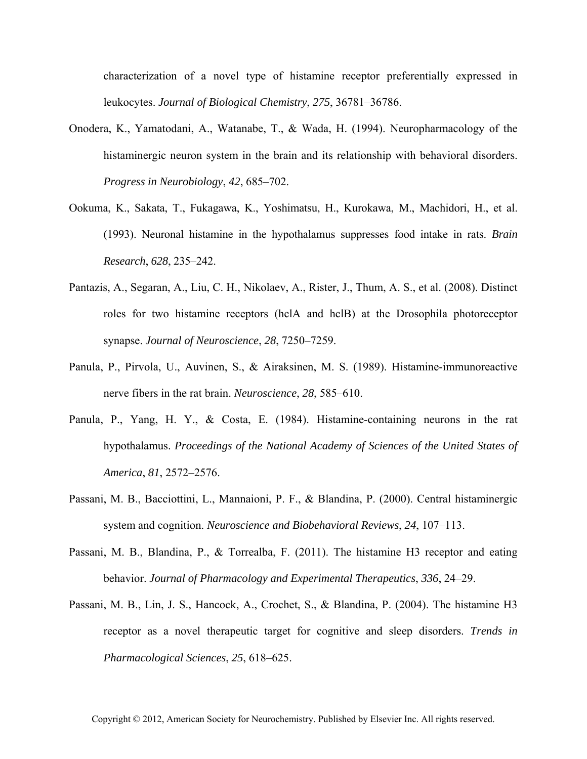characterization of a novel type of histamine receptor preferentially expressed in leukocytes. *Journal of Biological Chemistry*, *275*, 36781–36786.

- Onodera, K., Yamatodani, A., Watanabe, T., & Wada, H. (1994). Neuropharmacology of the histaminergic neuron system in the brain and its relationship with behavioral disorders. *Progress in Neurobiology*, *42*, 685–702.
- Ookuma, K., Sakata, T., Fukagawa, K., Yoshimatsu, H., Kurokawa, M., Machidori, H., et al. (1993). Neuronal histamine in the hypothalamus suppresses food intake in rats. *Brain Research*, *628*, 235–242.
- Pantazis, A., Segaran, A., Liu, C. H., Nikolaev, A., Rister, J., Thum, A. S., et al. (2008). Distinct roles for two histamine receptors (hclA and hclB) at the Drosophila photoreceptor synapse. *Journal of Neuroscience*, *28*, 7250–7259.
- Panula, P., Pirvola, U., Auvinen, S., & Airaksinen, M. S. (1989). Histamine-immunoreactive nerve fibers in the rat brain. *Neuroscience*, *28*, 585–610.
- Panula, P., Yang, H. Y., & Costa, E. (1984). Histamine-containing neurons in the rat hypothalamus. *Proceedings of the National Academy of Sciences of the United States of America*, *81*, 2572–2576.
- Passani, M. B., Bacciottini, L., Mannaioni, P. F., & Blandina, P. (2000). Central histaminergic system and cognition. *Neuroscience and Biobehavioral Reviews*, *24*, 107–113.
- Passani, M. B., Blandina, P., & Torrealba, F. (2011). The histamine H3 receptor and eating behavior. *Journal of Pharmacology and Experimental Therapeutics*, *336*, 24–29.
- Passani, M. B., Lin, J. S., Hancock, A., Crochet, S., & Blandina, P. (2004). The histamine H3 receptor as a novel therapeutic target for cognitive and sleep disorders. *Trends in Pharmacological Sciences*, *25*, 618–625.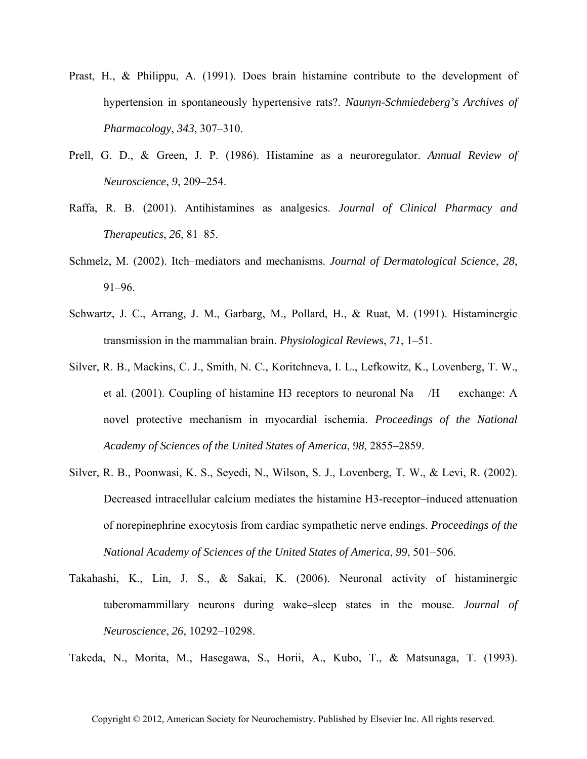- Prast, H., & Philippu, A. (1991). Does brain histamine contribute to the development of hypertension in spontaneously hypertensive rats?. *Naunyn-Schmiedeberg's Archives of Pharmacology*, *343*, 307–310.
- Prell, G. D., & Green, J. P. (1986). Histamine as a neuroregulator. *Annual Review of Neuroscience*, *9*, 209–254.
- Raffa, R. B. (2001). Antihistamines as analgesics. *Journal of Clinical Pharmacy and Therapeutics*, *26*, 81–85.
- Schmelz, M. (2002). Itch–mediators and mechanisms. *Journal of Dermatological Science*, *28*, 91–96.
- Schwartz, J. C., Arrang, J. M., Garbarg, M., Pollard, H., & Ruat, M. (1991). Histaminergic transmission in the mammalian brain. *Physiological Reviews*, *71*, 1–51.
- Silver, R. B., Mackins, C. J., Smith, N. C., Koritchneva, I. L., Lefkowitz, K., Lovenberg, T. W., et al. (2001). Coupling of histamine H3 receptors to neuronal Na /H exchange: A novel protective mechanism in myocardial ischemia. *Proceedings of the National Academy of Sciences of the United States of America*, *98*, 2855–2859.
- Silver, R. B., Poonwasi, K. S., Seyedi, N., Wilson, S. J., Lovenberg, T. W., & Levi, R. (2002). Decreased intracellular calcium mediates the histamine H3-receptor–induced attenuation of norepinephrine exocytosis from cardiac sympathetic nerve endings. *Proceedings of the National Academy of Sciences of the United States of America*, *99*, 501–506.
- Takahashi, K., Lin, J. S., & Sakai, K. (2006). Neuronal activity of histaminergic tuberomammillary neurons during wake–sleep states in the mouse. *Journal of Neuroscience*, *26*, 10292–10298.

Takeda, N., Morita, M., Hasegawa, S., Horii, A., Kubo, T., & Matsunaga, T. (1993).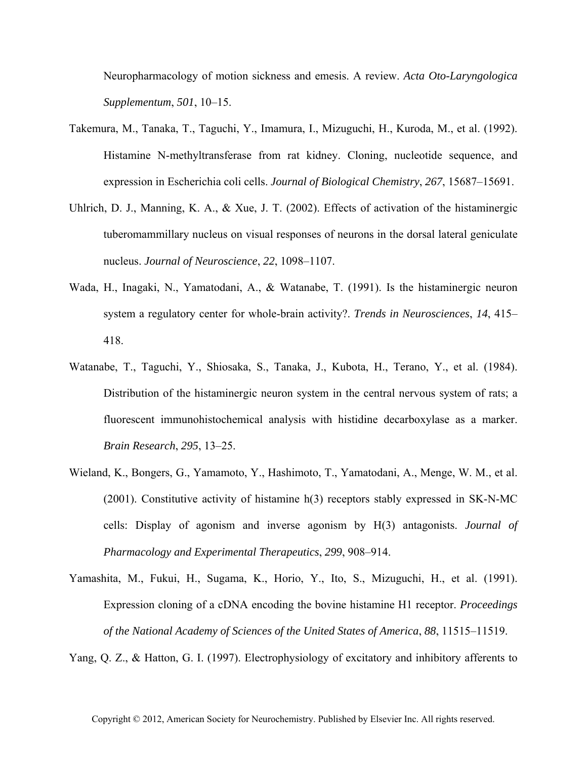Neuropharmacology of motion sickness and emesis. A review. *Acta Oto-Laryngologica Supplementum*, *501*, 10–15.

- Takemura, M., Tanaka, T., Taguchi, Y., Imamura, I., Mizuguchi, H., Kuroda, M., et al. (1992). Histamine N-methyltransferase from rat kidney. Cloning, nucleotide sequence, and expression in Escherichia coli cells. *Journal of Biological Chemistry*, *267*, 15687–15691.
- Uhlrich, D. J., Manning, K. A., & Xue, J. T. (2002). Effects of activation of the histaminergic tuberomammillary nucleus on visual responses of neurons in the dorsal lateral geniculate nucleus. *Journal of Neuroscience*, *22*, 1098–1107.
- Wada, H., Inagaki, N., Yamatodani, A., & Watanabe, T. (1991). Is the histaminergic neuron system a regulatory center for whole-brain activity?. *Trends in Neurosciences*, *14*, 415– 418.
- Watanabe, T., Taguchi, Y., Shiosaka, S., Tanaka, J., Kubota, H., Terano, Y., et al. (1984). Distribution of the histaminergic neuron system in the central nervous system of rats; a fluorescent immunohistochemical analysis with histidine decarboxylase as a marker. *Brain Research*, *295*, 13–25.
- Wieland, K., Bongers, G., Yamamoto, Y., Hashimoto, T., Yamatodani, A., Menge, W. M., et al. (2001). Constitutive activity of histamine h(3) receptors stably expressed in SK-N-MC cells: Display of agonism and inverse agonism by H(3) antagonists. *Journal of Pharmacology and Experimental Therapeutics*, *299*, 908–914.
- Yamashita, M., Fukui, H., Sugama, K., Horio, Y., Ito, S., Mizuguchi, H., et al. (1991). Expression cloning of a cDNA encoding the bovine histamine H1 receptor. *Proceedings of the National Academy of Sciences of the United States of America*, *88*, 11515–11519.

Yang, Q. Z., & Hatton, G. I. (1997). Electrophysiology of excitatory and inhibitory afferents to